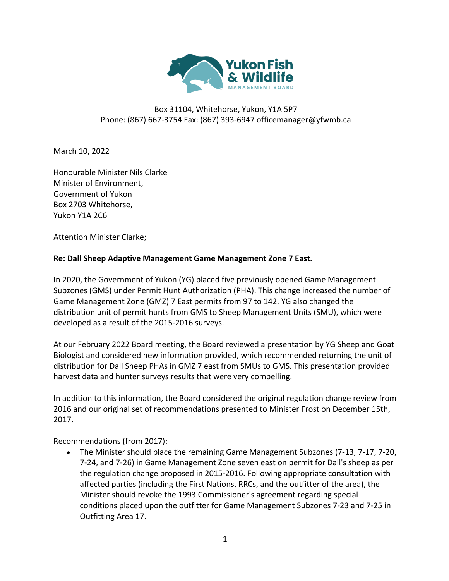

## Box 31104, Whitehorse, Yukon, Y1A 5P7 Phone: (867) 667-3754 Fax: (867) 393-6947 officemanager@yfwmb.ca

March 10, 2022

Honourable Minister Nils Clarke Minister of Environment, Government of Yukon Box 2703 Whitehorse, Yukon Y1A 2C6

Attention Minister Clarke;

## **Re: Dall Sheep Adaptive Management Game Management Zone 7 East.**

In 2020, the Government of Yukon (YG) placed five previously opened Game Management Subzones (GMS) under Permit Hunt Authorization (PHA). This change increased the number of Game Management Zone (GMZ) 7 East permits from 97 to 142. YG also changed the distribution unit of permit hunts from GMS to Sheep Management Units (SMU), which were developed as a result of the 2015-2016 surveys.

At our February 2022 Board meeting, the Board reviewed a presentation by YG Sheep and Goat Biologist and considered new information provided, which recommended returning the unit of distribution for Dall Sheep PHAs in GMZ 7 east from SMUs to GMS. This presentation provided harvest data and hunter surveys results that were very compelling.

In addition to this information, the Board considered the original regulation change review from 2016 and our original set of recommendations presented to Minister Frost on December 15th, 2017.

Recommendations (from 2017):

• The Minister should place the remaining Game Management Subzones (7-13, 7-17, 7-20, 7-24, and 7-26) in Game Management Zone seven east on permit for Dall's sheep as per the regulation change proposed in 2015-2016. Following appropriate consultation with affected parties (including the First Nations, RRCs, and the outfitter of the area), the Minister should revoke the 1993 Commissioner's agreement regarding special conditions placed upon the outfitter for Game Management Subzones 7-23 and 7-25 in Outfitting Area 17.